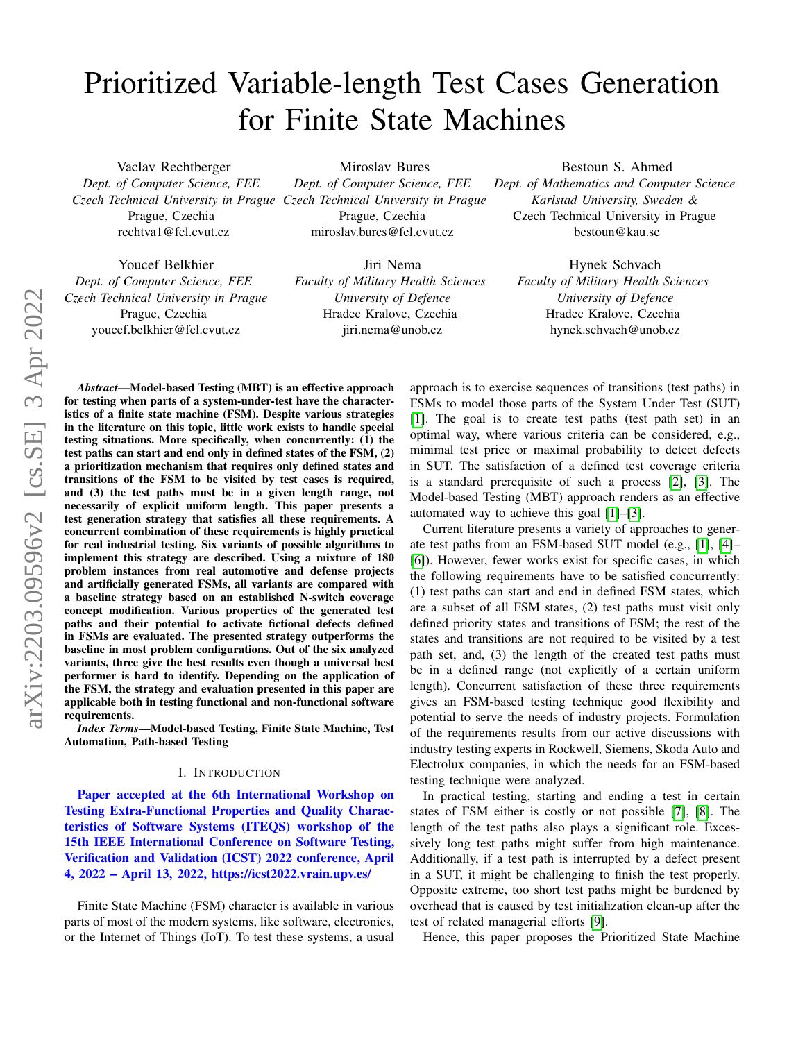# Prioritized Variable-length Test Cases Generation for Finite State Machines

Miroslav Bures *Dept. of Computer Science, FEE*

Prague, Czechia miroslav.bures@fel.cvut.cz

Vaclav Rechtberger *Dept. of Computer Science, FEE Czech Technical University in Prague Czech Technical University in Prague* Prague, Czechia rechtva1@fel.cvut.cz

Youcef Belkhier *Dept. of Computer Science, FEE Czech Technical University in Prague* Prague, Czechia youcef.belkhier@fel.cvut.cz

Jiri Nema *Faculty of Military Health Sciences University of Defence* Hradec Kralove, Czechia

jiri.nema@unob.cz

Bestoun S. Ahmed *Dept. of Mathematics and Computer Science Karlstad University, Sweden &* Czech Technical University in Prague bestoun@kau.se

Hynek Schvach *Faculty of Military Health Sciences University of Defence* Hradec Kralove, Czechia hynek.schvach@unob.cz

*Abstract*—Model-based Testing (MBT) is an effective approach for testing when parts of a system-under-test have the characteristics of a finite state machine (FSM). Despite various strategies in the literature on this topic, little work exists to handle special testing situations. More specifically, when concurrently: (1) the test paths can start and end only in defined states of the FSM, (2) a prioritization mechanism that requires only defined states and transitions of the FSM to be visited by test cases is required, and (3) the test paths must be in a given length range, not necessarily of explicit uniform length. This paper presents a test generation strategy that satisfies all these requirements. A concurrent combination of these requirements is highly practical for real industrial testing. Six variants of possible algorithms to implement this strategy are described. Using a mixture of 180 problem instances from real automotive and defense projects and artificially generated FSMs, all variants are compared with a baseline strategy based on an established N-switch coverage concept modification. Various properties of the generated test paths and their potential to activate fictional defects defined in FSMs are evaluated. The presented strategy outperforms the baseline in most problem configurations. Out of the six analyzed variants, three give the best results even though a universal best performer is hard to identify. Depending on the application of the FSM, the strategy and evaluation presented in this paper are applicable both in testing functional and non-functional software requirements.

*Index Terms*—Model-based Testing, Finite State Machine, Test Automation, Path-based Testing

#### I. INTRODUCTION

Paper accepted at the 6th International Workshop on Testing Extra-Functional Properties and Quality Characteristics of Software Systems (ITEQS) workshop of the 15th IEEE International Conference on Software Testing, Verification and Validation (ICST) 2022 conference, April 4, 2022 – April 13, 2022, https://icst2022.vrain.upv.es/

Finite State Machine (FSM) character is available in various parts of most of the modern systems, like software, electronics, or the Internet of Things (IoT). To test these systems, a usual approach is to exercise sequences of transitions (test paths) in FSMs to model those parts of the System Under Test (SUT) [\[1\]](#page-9-0). The goal is to create test paths (test path set) in an optimal way, where various criteria can be considered, e.g., minimal test price or maximal probability to detect defects in SUT. The satisfaction of a defined test coverage criteria is a standard prerequisite of such a process [\[2\]](#page-9-1), [\[3\]](#page-9-2). The Model-based Testing (MBT) approach renders as an effective automated way to achieve this goal [\[1\]](#page-9-0)–[\[3\]](#page-9-2).

Current literature presents a variety of approaches to generate test paths from an FSM-based SUT model (e.g., [\[1\]](#page-9-0), [\[4\]](#page-9-3)– [\[6\]](#page-9-4)). However, fewer works exist for specific cases, in which the following requirements have to be satisfied concurrently: (1) test paths can start and end in defined FSM states, which are a subset of all FSM states, (2) test paths must visit only defined priority states and transitions of FSM; the rest of the states and transitions are not required to be visited by a test path set, and, (3) the length of the created test paths must be in a defined range (not explicitly of a certain uniform length). Concurrent satisfaction of these three requirements gives an FSM-based testing technique good flexibility and potential to serve the needs of industry projects. Formulation of the requirements results from our active discussions with industry testing experts in Rockwell, Siemens, Skoda Auto and Electrolux companies, in which the needs for an FSM-based testing technique were analyzed.

In practical testing, starting and ending a test in certain states of FSM either is costly or not possible [\[7\]](#page-9-5), [\[8\]](#page-9-6). The length of the test paths also plays a significant role. Excessively long test paths might suffer from high maintenance. Additionally, if a test path is interrupted by a defect present in a SUT, it might be challenging to finish the test properly. Opposite extreme, too short test paths might be burdened by overhead that is caused by test initialization clean-up after the test of related managerial efforts [\[9\]](#page-9-7).

Hence, this paper proposes the Prioritized State Machine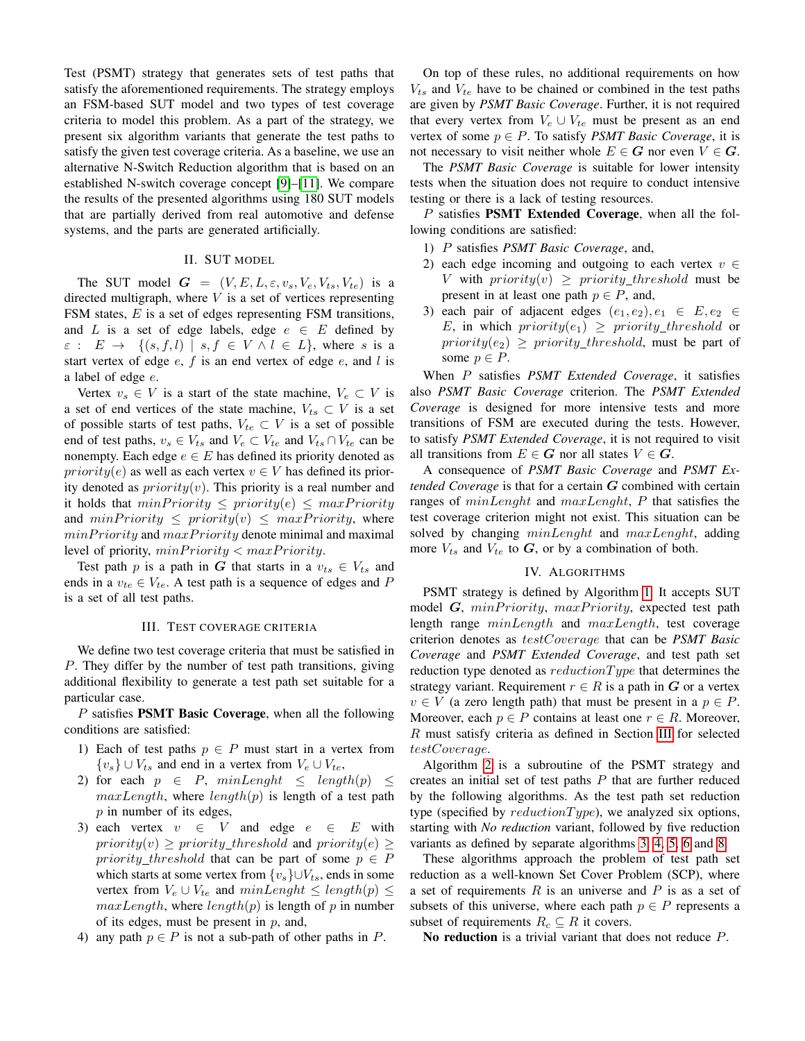Test (PSMT) strategy that generates sets of test paths that satisfy the aforementioned requirements. The strategy employs an FSM-based SUT model and two types of test coverage criteria to model this problem. As a part of the strategy, we present six algorithm variants that generate the test paths to satisfy the given test coverage criteria. As a baseline, we use an alternative N-Switch Reduction algorithm that is based on an established N-switch coverage concept [\[9\]](#page-9-7)–[\[11\]](#page-9-8). We compare the results of the presented algorithms using 180 SUT models that are partially derived from real automotive and defense systems, and the parts are generated artificially.

## II. SUT MODEL

The SUT model  $G = (V, E, L, \varepsilon, v_s, V_e, V_{ts}, V_{te})$  is a directed multigraph, where  $V$  is a set of vertices representing FSM states, E is a set of edges representing FSM transitions, and L is a set of edge labels, edge  $e \in E$  defined by  $\varepsilon$  :  $E \to \{(s, f, l) \mid s, f \in V \land l \in L\}$ , where s is a start vertex of edge  $e$ ,  $f$  is an end vertex of edge  $e$ , and  $l$  is a label of edge e.

Vertex  $v_s \in V$  is a start of the state machine,  $V_e \subset V$  is a set of end vertices of the state machine,  $V_{ts} \subset V$  is a set of possible starts of test paths,  $V_{te} \subset V$  is a set of possible end of test paths,  $v_s \in V_{ts}$  and  $V_e \subset V_{te}$  and  $V_{ts} \cap V_{te}$  can be nonempty. Each edge  $e \in E$  has defined its priority denoted as *priority(e)* as well as each vertex  $v \in V$  has defined its priority denoted as  $priority(v)$ . This priority is a real number and it holds that  $minPriority \leq priority(e) \leq maxPriority$ and  $minPriority \leq priority(v) \leq maxPriority$ , where  $minPriority$  and  $maxPriority$  denote minimal and maximal level of priority,  $minPriority < maxPriority$ .

Test path p is a path in G that starts in a  $v_{ts} \in V_{ts}$  and ends in a  $v_{te} \in V_{te}$ . A test path is a sequence of edges and P is a set of all test paths.

#### III. TEST COVERAGE CRITERIA

<span id="page-1-0"></span>We define two test coverage criteria that must be satisfied in P. They differ by the number of test path transitions, giving additional flexibility to generate a test path set suitable for a particular case.

 $P$  satisfies **PSMT Basic Coverage**, when all the following conditions are satisfied:

- 1) Each of test paths  $p \in P$  must start in a vertex from  ${v_s}$  ∪  $V_{ts}$  and end in a vertex from  $V_e \cup V_{te}$ ,
- 2) for each  $p \in P$ ,  $minLength \le length(p) \le$  $maxLength$ , where  $length(p)$  is length of a test path  $p$  in number of its edges,
- 3) each vertex  $v \in V$  and edge  $e \in E$  with  $priority(v) \ge priority\_threshold$  and  $priority(e) \ge$ priority\_threshold that can be part of some  $p \in P$ which starts at some vertex from  $\{v_s\} \cup V_{ts}$ , ends in some vertex from  $V_e \cup V_{te}$  and  $minLength \le length(p) \le$  $maxLength$ , where  $length(p)$  is length of p in number of its edges, must be present in  $p$ , and,
- 4) any path  $p \in P$  is not a sub-path of other paths in P.

On top of these rules, no additional requirements on how  $V_{ts}$  and  $V_{te}$  have to be chained or combined in the test paths are given by *PSMT Basic Coverage*. Further, it is not required that every vertex from  $V_e \cup V_{te}$  must be present as an end vertex of some  $p \in P$ . To satisfy *PSMT Basic Coverage*, it is not necessary to visit neither whole  $E \in G$  nor even  $V \in G$ .

The *PSMT Basic Coverage* is suitable for lower intensity tests when the situation does not require to conduct intensive testing or there is a lack of testing resources.

P satisfies **PSMT Extended Coverage**, when all the following conditions are satisfied:

- 1) P satisfies *PSMT Basic Coverage*, and,
- 2) each edge incoming and outgoing to each vertex  $v \in$ V with  $priority(v) \ge priority\_threshold$  must be present in at least one path  $p \in P$ , and,
- 3) each pair of adjacent edges  $(e_1, e_2), e_1 \in E, e_2 \in$ E, in which  $priority(e_1) \ge priority\_threshold$  or  $priority(e_2) \ge priority\_threshold$ , must be part of some  $p \in P$ .

When P satisfies *PSMT Extended Coverage*, it satisfies also *PSMT Basic Coverage* criterion. The *PSMT Extended Coverage* is designed for more intensive tests and more transitions of FSM are executed during the tests. However, to satisfy *PSMT Extended Coverage*, it is not required to visit all transitions from  $E \in G$  nor all states  $V \in G$ .

A consequence of *PSMT Basic Coverage* and *PSMT Extended Coverage* is that for a certain G combined with certain ranges of minLenght and maxLenght, P that satisfies the test coverage criterion might not exist. This situation can be solved by changing  $minLength$  and  $maxLength$ , adding more  $V_{ts}$  and  $V_{te}$  to  $G$ , or by a combination of both.

#### IV. ALGORITHMS

PSMT strategy is defined by Algorithm [1.](#page-2-0) It accepts SUT model  $G$ ,  $minPriority$ ,  $maxPriority$ , expected test path length range minLength and maxLength, test coverage criterion denotes as testCoverage that can be *PSMT Basic Coverage* and *PSMT Extended Coverage*, and test path set reduction type denoted as  $reductionType$  that determines the strategy variant. Requirement  $r \in R$  is a path in G or a vertex  $v \in V$  (a zero length path) that must be present in a  $p \in P$ . Moreover, each  $p \in P$  contains at least one  $r \in R$ . Moreover, R must satisfy criteria as defined in Section [III](#page-1-0) for selected testCoverage.

Algorithm [2](#page-2-1) is a subroutine of the PSMT strategy and creates an initial set of test paths  $P$  that are further reduced by the following algorithms. As the test path set reduction type (specified by  $reductionType$ ), we analyzed six options, starting with *No reduction* variant, followed by five reduction variants as defined by separate algorithms [3,](#page-3-0) [4,](#page-3-1) [5,](#page-3-2) [6](#page-3-3) and [8.](#page-4-0)

These algorithms approach the problem of test path set reduction as a well-known Set Cover Problem (SCP), where a set of requirements  $R$  is an universe and  $P$  is as a set of subsets of this universe, where each path  $p \in P$  represents a subset of requirements  $R_c \subseteq R$  it covers.

No reduction is a trivial variant that does not reduce P.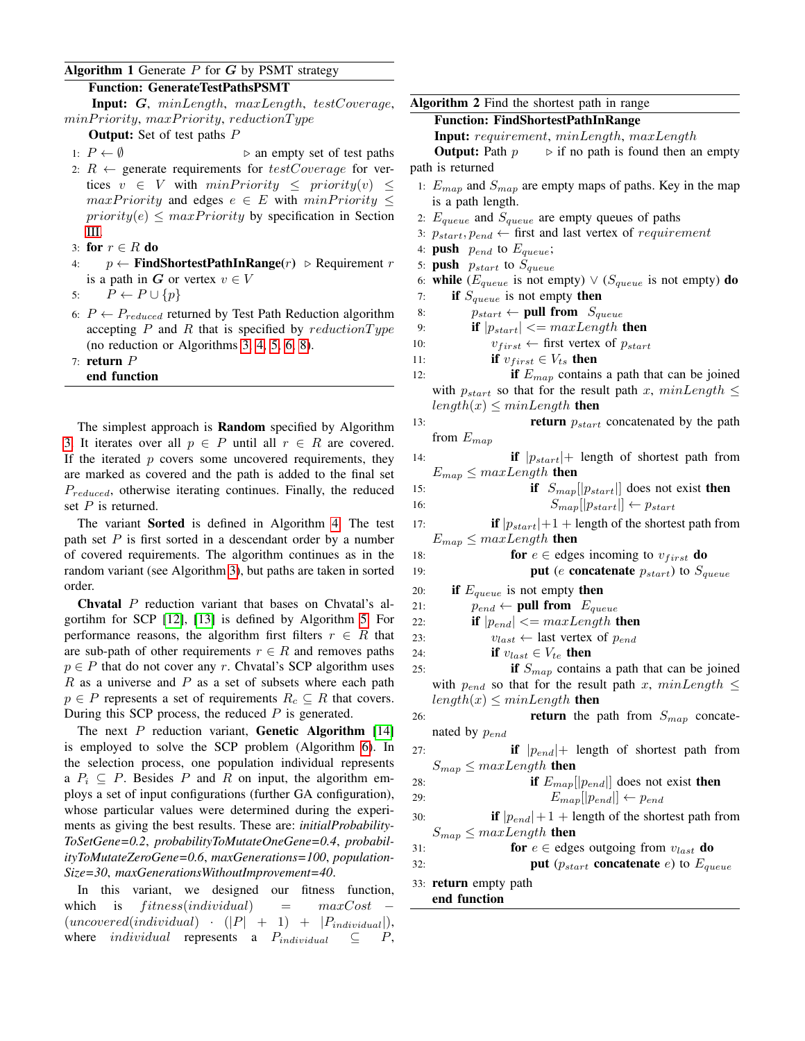## <span id="page-2-0"></span>Algorithm 1 Generate  $P$  for  $G$  by PSMT strategy

## Function: GenerateTestPathsPSMT

Input: G, minLength, maxLength, testCoverage,  $minPriority, maxPriority, reductionType$ 

**Output:** Set of test paths  $P$ 

- 1:  $P \leftarrow \emptyset$   $\triangleright$  an empty set of test paths
- 2:  $R \leftarrow$  generate requirements for  $testCoverage$  for vertices  $v \in V$  with  $minPriority \leq priority(v) \leq$  $maxPriority$  and edges  $e \in E$  with  $minPriority \leq$  $priority(e) \leq maxPriority$  by specification in Section [III.](#page-1-0)
- 3: for  $r \in R$  do
- 4:  $p \leftarrow$  FindShortestPathInRange(r) ⊳ Requirement r is a path in G or vertex  $v \in V$
- 5:  $P \leftarrow P \cup \{p\}$
- 6:  $P \leftarrow P_{reduced}$  returned by Test Path Reduction algorithm accepting  $P$  and  $R$  that is specified by reduction Type (no reduction or Algorithms [3,](#page-3-0) [4,](#page-3-1) [5,](#page-3-2) [6,](#page-3-3) [8\)](#page-4-0).
- 7: return P
- end function

The simplest approach is Random specified by Algorithm [3.](#page-3-0) It iterates over all  $p \in P$  until all  $r \in R$  are covered. If the iterated  $p$  covers some uncovered requirements, they are marked as covered and the path is added to the final set  $P_{reduced}$ , otherwise iterating continues. Finally, the reduced set  $P$  is returned.

The variant Sorted is defined in Algorithm [4.](#page-3-1) The test path set  $P$  is first sorted in a descendant order by a number of covered requirements. The algorithm continues as in the random variant (see Algorithm [3\)](#page-3-0), but paths are taken in sorted order.

Chvatal P reduction variant that bases on Chvatal's algortihm for SCP [\[12\]](#page-9-9), [\[13\]](#page-9-10) is defined by Algorithm [5.](#page-3-2) For performance reasons, the algorithm first filters  $r \in R$  that are sub-path of other requirements  $r \in R$  and removes paths  $p \in P$  that do not cover any r. Chvatal's SCP algorithm uses  $R$  as a universe and  $P$  as a set of subsets where each path  $p \in P$  represents a set of requirements  $R_c \subseteq R$  that covers. During this SCP process, the reduced  $P$  is generated.

The next  $P$  reduction variant, **Genetic Algorithm** [\[14\]](#page-9-11) is employed to solve the SCP problem (Algorithm [6\)](#page-3-3). In the selection process, one population individual represents a  $P_i \subseteq P$ . Besides P and R on input, the algorithm employs a set of input configurations (further GA configuration), whose particular values were determined during the experiments as giving the best results. These are: *initialProbability-ToSetGene=0.2*, *probabilityToMutateOneGene=0.4*, *probabilityToMutateZeroGene=0.6*, *maxGenerations=100*, *population-Size=30*, *maxGenerationsWithoutImprovement=40*.

In this variant, we designed our fitness function, which is  $fitness(individual)$  =  $maxCost$  $(uncovered (individual) \cdot (|P| + 1) + |P_{individual}|),$ where *individual* represents a  $P_{individual} \subseteq P$ ,

```
Algorithm 2 Find the shortest path in range
    Function: FindShortestPathInRange
    Input: requirement, minLength, maxLength
    Output: Path p \rightarrow if no path is found then an empty
path is returned
 1: E_{map} and S_{map} are empty maps of paths. Key in the map
    is a path length.
 2: E_{queue} and S_{queue} are empty queues of paths
 3: p_{start}, p_{end} \leftarrow first and last vertex of requirement
 4: push p_{end} to E_{queue};
 5: push p_{start} to S_{queue}6: while (E_{queue} is not empty) \vee (S_{queue} is not empty) do
 7: if S_{queue} is not empty then
 8: p_{start} \leftarrow \text{pull from } S_{queue}9: if |p_{start}| \leq maxLength then
10: v_{first} \leftarrow \text{first vertex of } p_{start}11: if v_{first} \in V_{ts} then
12: if E_{map} contains a path that can be joined
    with p_{start} so that for the result path x, minLength \leqlength(x) \leq minLength then
13: return p_{start} concatenated by the path
   from E_{map}14: if |p_{start}|+ length of shortest path from
    E_{map} \leq maxLength then
15: if S_{map}[[p_{start}]] does not exist then
16: S_{map}[[p_{start}]] \leftarrow p_{start}17: if |p_{start}|+1 + length of the shortest path from
    E_{map} \leq maxLength then
18: for e \in edges incoming to v_{first} do
19: put (e concatenate p_{start}) to S_{queue}20: if E_{queue} is not empty then
21: p_{end} \leftarrow \textbf{pull from } E_{queue}22: if |p_{end}| \leq maxLength then
23: v_{last} \leftarrow last vertex of p_{end}24: if v_{last} \in V_{te} then
```
- 
- 25: **if**  $S_{man}$  contains a path that can be joined with  $p_{end}$  so that for the result path x,  $minLength \leq$  $length(x) \leq minLength$  then
- 26: **return** the path from  $S_{map}$  concatenated by  $p_{end}$

27: **if** 
$$
|p_{end}|
$$
+ length of shortest path from  $S_{map} \leq maxLength$  then

28: **if** 
$$
E_{map}[[p_{end}]]
$$
 does not exist **then**  
29:  $E_{map}[[p_{end}]] \leftarrow p_{end}$ 

30: **if**  $|p_{end}|+1$  + length of the shortest path from  $S_{map} \leq maxLength$  then

31: **for** 
$$
e \in
$$
 edges outgoing from  $v_{last}$  **do**

- 32: **put**  $(p_{start}$  **concatenate** e) to  $E_{queue}$
- 33: return empty path
	- end function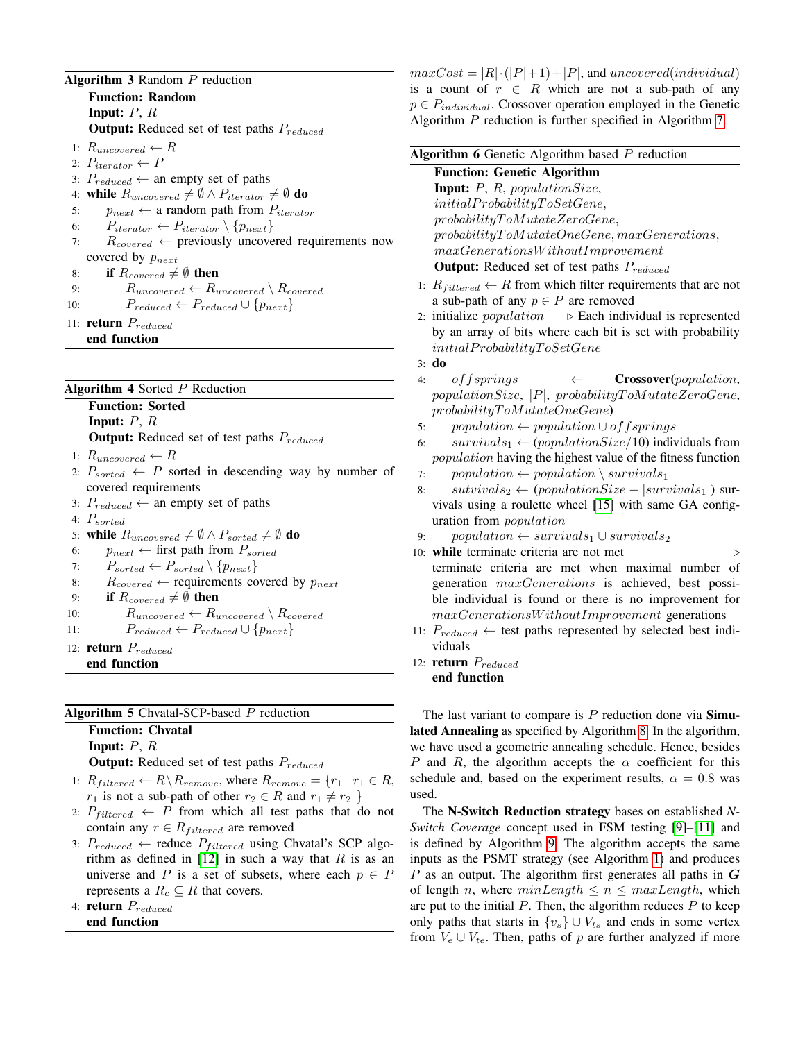## <span id="page-3-0"></span>Algorithm  $3$  Random  $P$  reduction

Function: Random **Input:**  $P, R$ **Output:** Reduced set of test paths  $P_{reduced}$ 1:  $R_{uncovered} \leftarrow R$ 2:  $P_{iterator} \leftarrow P$ 3:  $P_{reduced} \leftarrow$  an empty set of paths 4: while  $R_{uncovered} \neq \emptyset \land P_{iterator} \neq \emptyset$  do 5:  $p_{next} \leftarrow$  a random path from  $P_{iterator}$ 6:  $P_{iterator} \leftarrow P_{iterator} \setminus \{p_{next}\}$ 7:  $R_{covered} \leftarrow$  previously uncovered requirements now covered by  $p_{next}$ 8: if  $R_{covered} \neq \emptyset$  then 9:  $R_{uncovered} \leftarrow R_{uncovered} \setminus R_{covered}$ 10:  $P_{reduced} \leftarrow P_{reduced} \cup \{p_{next}\}\$ 11: return  $P_{reduced}$ 

end function

## <span id="page-3-1"></span>Algorithm 4 Sorted  $P$  Reduction

Function: Sorted

Input:  $P, R$ 

Output: Reduced set of test paths  $P_{reduced}$ 

- 1:  $R_{uncovered} \leftarrow R$
- 2:  $P_{sorted} \leftarrow P$  sorted in descending way by number of covered requirements
- 3:  $P_{reduced} \leftarrow$  an empty set of paths
- 4:  $P_{sorted}$
- 5: while  $R_{uncovered} \neq \emptyset \land P_{sorted} \neq \emptyset$  do
- 6:  $p_{next} \leftarrow$  first path from  $P_{sorted}$
- 7:  $P_{sorted} \leftarrow P_{sorted} \setminus \{p_{next}\}$
- 8:  $R_{covered} \leftarrow$  requirements covered by  $p_{next}$
- 9: if  $R_{covered} \neq \emptyset$  then
- 10:  $R_{uncovered} \leftarrow R_{uncovered} \setminus R_{covered}$
- 11:  $P_{reduced} \leftarrow P_{reduced} \cup \{p_{next}\}\$
- 12: **return**  $P_{reduced}$
- end function

## <span id="page-3-2"></span>Algorithm 5 Chvatal-SCP-based  $P$  reduction

Function: Chvatal

Input:  $P, R$ 

**Output:** Reduced set of test paths  $P_{reduced}$ 

- 1:  $R_{filtered} \leftarrow R \backslash R_{remove}$ , where  $R_{remove} = \{r_1 \mid r_1 \in R$ ,  $r_1$  is not a sub-path of other  $r_2 \in R$  and  $r_1 \neq r_2$  }
- 2:  $P_{filtered} \leftarrow P$  from which all test paths that do not contain any  $r \in R_{filtered}$  are removed
- 3:  $P_{reduced} \leftarrow$  reduce  $P_{filtered}$  using Chvatal's SCP algorithm as defined in  $[12]$  in such a way that R is as an universe and P is a set of subsets, where each  $p \in P$ represents a  $R_c \subseteq R$  that covers.
- 4: return  $P_{reduced}$
- end function

 $maxCost = |R| \cdot (|P|+1) + |P|$ , and uncovered(individual) is a count of  $r \in R$  which are not a sub-path of any  $p \in P_{individual}$ . Crossover operation employed in the Genetic Algorithm P reduction is further specified in Algorithm [7.](#page-4-1)

<span id="page-3-3"></span>

|    | Algorithm 6 Genetic Algorithm based $P$ reduction                               |  |  |  |  |  |  |  |  |
|----|---------------------------------------------------------------------------------|--|--|--|--|--|--|--|--|
|    | <b>Function: Genetic Algorithm</b>                                              |  |  |  |  |  |  |  |  |
|    | <b>Input:</b> $P$ , $R$ , population Size,                                      |  |  |  |  |  |  |  |  |
|    | initial Probability To SetGene,                                                 |  |  |  |  |  |  |  |  |
|    | probabilityToMutateZeroGene,                                                    |  |  |  |  |  |  |  |  |
|    | $probability To MutateOneGene, maxGenerations,$                                 |  |  |  |  |  |  |  |  |
|    | maxGenerations Without Improvement                                              |  |  |  |  |  |  |  |  |
|    | <b>Output:</b> Reduced set of test paths $P_{reduced}$                          |  |  |  |  |  |  |  |  |
|    | 1: $R_{filtered} \leftarrow R$ from which filter requirements that are not      |  |  |  |  |  |  |  |  |
|    | a sub-path of any $p \in P$ are removed                                         |  |  |  |  |  |  |  |  |
|    | 2: initialize <i>population</i> $\triangleright$ Each individual is represented |  |  |  |  |  |  |  |  |
|    | by an array of bits where each bit is set with probability                      |  |  |  |  |  |  |  |  |
|    | initial Probability To SetGene                                                  |  |  |  |  |  |  |  |  |
|    | $3. d$ o                                                                        |  |  |  |  |  |  |  |  |
| 4: | offsprings<br>$C$ rossover(population,<br>$\leftarrow$                          |  |  |  |  |  |  |  |  |
|    | $populationSize,  P , probabilityToMutateZeroGene,$                             |  |  |  |  |  |  |  |  |
|    | probabilityToMutateOneGene)                                                     |  |  |  |  |  |  |  |  |
| 5: | $population \leftarrow population \cup offsprings$                              |  |  |  |  |  |  |  |  |
| 6: | $survivals_1 \leftarrow (populationSize/10)$ individuals from                   |  |  |  |  |  |  |  |  |
|    | population having the highest value of the fitness function                     |  |  |  |  |  |  |  |  |
| 7: | population $\leftarrow$ population $\setminus$ survivals <sub>1</sub>           |  |  |  |  |  |  |  |  |
| 8: | $sutvivals_2 \leftarrow (populationSize -  survivals_1 )$ sur-                  |  |  |  |  |  |  |  |  |
|    | vivals using a roulette wheel [15] with same GA config-                         |  |  |  |  |  |  |  |  |
|    | uration from <i>population</i>                                                  |  |  |  |  |  |  |  |  |
| 9: | $population \leftarrow survivals_1 \cup survivals_2$                            |  |  |  |  |  |  |  |  |
|    | 10: while terminate criteria are not met<br>▷                                   |  |  |  |  |  |  |  |  |

- terminate criteria are met when maximal number of generation maxGenerations is achieved, best possible individual is found or there is no improvement for maxGenerationsW ithoutImprovement generations
- 11:  $P_{reduced} \leftarrow$  test paths represented by selected best individuals
- 12: return  $P_{reduced}$ end function

The last variant to compare is  $P$  reduction done via **Simu**lated Annealing as specified by Algorithm [8.](#page-4-0) In the algorithm, we have used a geometric annealing schedule. Hence, besides P and R, the algorithm accepts the  $\alpha$  coefficient for this schedule and, based on the experiment results,  $\alpha = 0.8$  was used.

The N-Switch Reduction strategy bases on established *N-Switch Coverage* concept used in FSM testing [\[9\]](#page-9-7)–[\[11\]](#page-9-8) and is defined by Algorithm [9.](#page-5-0) The algorithm accepts the same inputs as the PSMT strategy (see Algorithm [1\)](#page-2-0) and produces  $P$  as an output. The algorithm first generates all paths in  $G$ of length n, where  $minLength \le n \le maxLength$ , which are put to the initial  $P$ . Then, the algorithm reduces  $P$  to keep only paths that starts in  $\{v_s\} \cup V_{ts}$  and ends in some vertex from  $V_e \cup V_{te}$ . Then, paths of p are further analyzed if more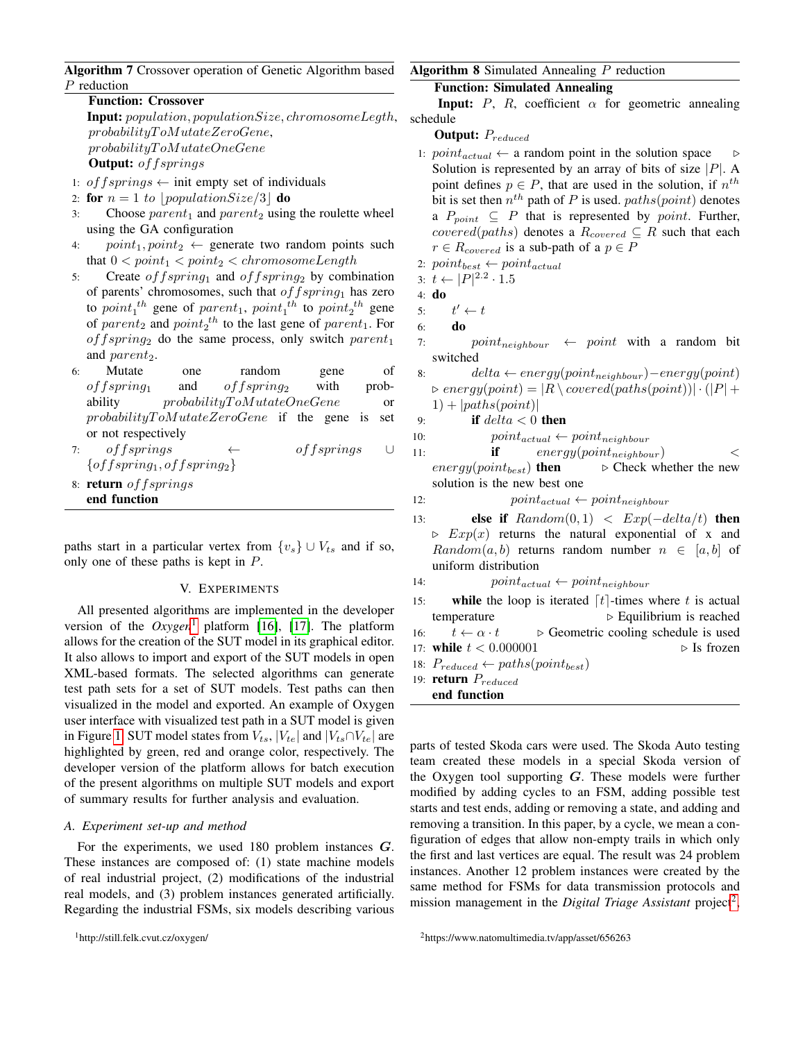<span id="page-4-1"></span>Algorithm 7 Crossover operation of Genetic Algorithm based P reduction

Function: Crossover Input: population, populationSize, chromosomeLegth,  $probabilityToMutateZeroGene,$ probabilityT oMutateOneGene **Output:** of fsprings

- 1: of  $fsprings \leftarrow init$  empty set of individuals
- 2: for  $n = 1$  to populationSize/3 do
- 3: Choose  $parent_1$  and  $parent_2$  using the roulette wheel using the GA configuration
- 4:  $point_1, point_2 \leftarrow$  generate two random points such that  $0 < point_1 < point_2 < chromosomeLength$
- 5: Create *offspring*<sub>1</sub> and *offspring*<sub>2</sub> by combination of parents' chromosomes, such that  $offspring_1$  has zero to  $point_1^{th}$  gene of  $parent_1$ ,  $point_1^{th}$  to  $point_2^{th}$  gene of  $parent_2$  and  $point_2^{th}$  to the last gene of  $parent_1$ . For  $offspring_2$  do the same process, only switch  $parent_1$ and  $parent_2$ .
- 6: Mutate one random gene of  $offspring_1$  and  $offspring_2$  with probability probabilityToMutateOneGene or  $probabilityToMutateZeroGene$  if the gene is set or not respectively
- 7: offsprings ← offsprings ∪  $\{offspring_1, offspring_2\}$
- 8: return offsprings end function

paths start in a particular vertex from  $\{v_s\} \cup V_{ts}$  and if so, only one of these paths is kept in P.

#### V. EXPERIMENTS

All presented algorithms are implemented in the developer version of the  $Oxygen<sup>1</sup>$  $Oxygen<sup>1</sup>$  $Oxygen<sup>1</sup>$  platform [\[16\]](#page-9-13), [\[17\]](#page-9-14). The platform allows for the creation of the SUT model in its graphical editor. It also allows to import and export of the SUT models in open XML-based formats. The selected algorithms can generate test path sets for a set of SUT models. Test paths can then visualized in the model and exported. An example of Oxygen user interface with visualized test path in a SUT model is given in Figure [1.](#page-5-1) SUT model states from  $V_{ts}$ ,  $|V_{te}|$  and  $|V_{ts} \cap V_{te}|$  are highlighted by green, red and orange color, respectively. The developer version of the platform allows for batch execution of the present algorithms on multiple SUT models and export of summary results for further analysis and evaluation.

#### *A. Experiment set-up and method*

<span id="page-4-2"></span>For the experiments, we used 180 problem instances G. These instances are composed of: (1) state machine models of real industrial project, (2) modifications of the industrial real models, and (3) problem instances generated artificially. Regarding the industrial FSMs, six models describing various

# <span id="page-4-0"></span>Function: Simulated Annealing

**Input:** P, R, coefficient  $\alpha$  for geometric annealing schedule

Output:  $P_{reduced}$ 

- 1:  $point_{actual} \leftarrow$  a random point in the solution space  $\rightarrow$ Solution is represented by an array of bits of size  $|P|$ . A point defines  $p \in P$ , that are used in the solution, if  $n^{th}$ bit is set then  $n^{th}$  path of P is used.  $paths(point)$  denotes a  $P_{point} \subseteq P$  that is represented by *point*. Further, covered(paths) denotes a  $R_{covered} \subseteq R$  such that each  $r \in R_{covered}$  is a sub-path of a  $p \in P$
- 2:  $point_{best} \leftarrow point_{actual}$
- 3:  $t \leftarrow |P|^{2.2} \cdot 1.5$
- 4: do
- $5:$  $t' \leftarrow t$
- 6: do
- 7:  $point_{neiahbour} \leftarrow point$  with a random bit switched
- 8: delta ← energy(point<sub>neighbour</sub>) energy(point)  $\triangleright$  energy(point) = |R \covered(paths(point))| $\cdot$  (|P| +  $1) + |paths(point)|$
- 9: **if**  $delta < 0$  **then**
- 10:  $point_{actual} \leftarrow point_{neighbor}$
- 11: **if**  $energy(point_{neighbor})$  <
- $energy(point_{best})$  then  $\rightarrow$  Check whether the new solution is the new best one
- 12:  $point_{actual} \leftarrow point_{neighbor}$
- 13: **else if**  $Random(0, 1) < Exp(-delta/t)$  then  $\triangleright$   $Exp(x)$  returns the natural exponential of x and  $Random(a, b)$  returns random number  $n \in [a, b]$  of uniform distribution
- 14:  $point_{actual} \leftarrow point_{neighbor}$
- 15: while the loop is iterated  $\lceil t \rceil$ -times where t is actual temperature  $\triangleright$  Equilibrium is reached 16:  $t \leftarrow \alpha \cdot t$  > Geometric cooling schedule is used 17: while  $t < 0.000001$   $\triangleright$  Is frozen
- 18:  $P_{reduced} \leftarrow paths(point_{best})$
- 19: **return**  $P_{reduced}$
- end function

parts of tested Skoda cars were used. The Skoda Auto testing team created these models in a special Skoda version of the Oxygen tool supporting  $G$ . These models were further modified by adding cycles to an FSM, adding possible test starts and test ends, adding or removing a state, and adding and removing a transition. In this paper, by a cycle, we mean a configuration of edges that allow non-empty trails in which only the first and last vertices are equal. The result was 24 problem instances. Another 12 problem instances were created by the same method for FSMs for data transmission protocols and mission management in the *Digital Triage Assistant* project<sup>[2](#page-4-3)</sup>,

<span id="page-4-3"></span><sup>2</sup>https://www.natomultimedia.tv/app/asset/656263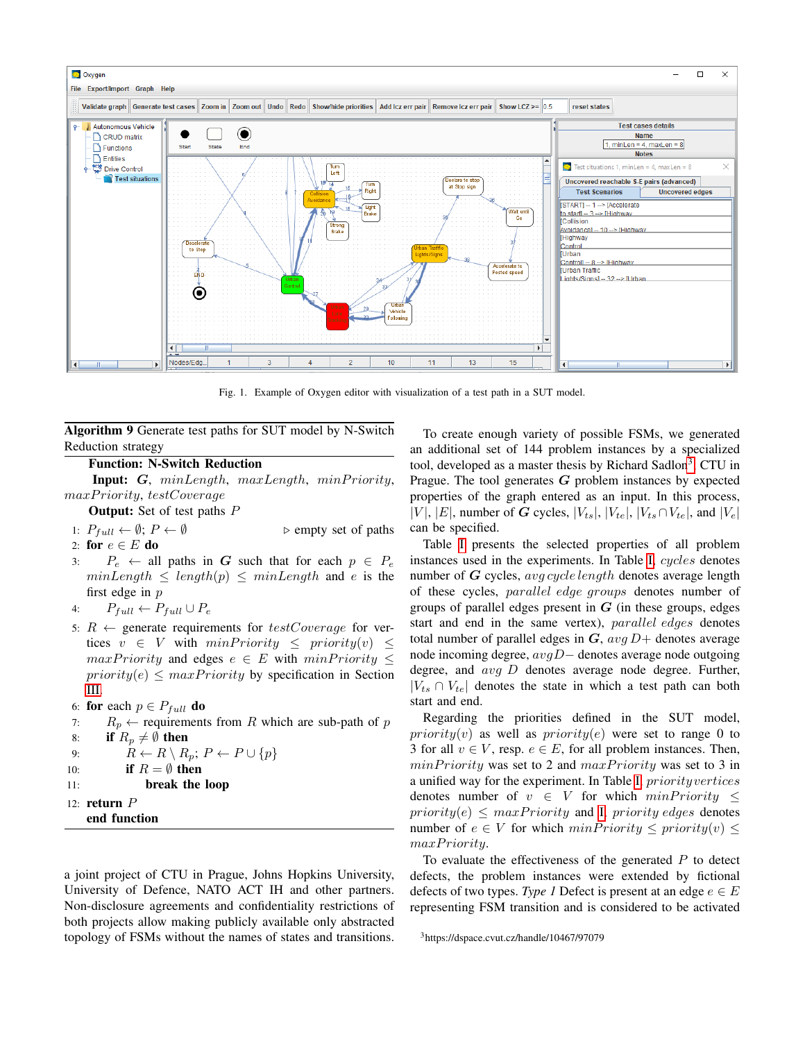

<span id="page-5-1"></span>Fig. 1. Example of Oxygen editor with visualization of a test path in a SUT model.

<span id="page-5-0"></span>Algorithm 9 Generate test paths for SUT model by N-Switch Reduction strategy

# Function: N-Switch Reduction

Input:  $G$ ,  $minLength$ ,  $maxLength$ ,  $minPriority$ , maxPriority, testCoverage

**Output:** Set of test paths P

1:  $P_{full} \leftarrow \emptyset$ ;  $P \leftarrow \emptyset$  > empty set of paths

- 2: for  $e \in E$  do
- 3:  $P_e \leftarrow$  all paths in G such that for each  $p \in P_e$  $minLength \le length(p) \le minLength$  and e is the first edge in p
- 4:  $P_{full} \leftarrow P_{full} \cup P_e$
- 5:  $R \leftarrow$  generate requirements for  $testCoverage$  for vertices  $v \in V$  with  $minPriority \leq priority(v) \leq$  $maxPriority$  and edges  $e \in E$  with  $minPriority \leq$  $priority(e) \leq maxPriority$  by specification in Section [III.](#page-1-0)
- 6: for each  $p \in P_{full}$  do
- 7:  $R_p \leftarrow$  requirements from R which are sub-path of p 8: if  $R_p \neq \emptyset$  then 9:  $R \leftarrow R \setminus R_n$ ;  $P \leftarrow P \cup \{p\}$

10: If 
$$
R = \emptyset
$$
 then

- 11: break the loop
- 12: return P
- 

end function

a joint project of CTU in Prague, Johns Hopkins University, University of Defence, NATO ACT IH and other partners. Non-disclosure agreements and confidentiality restrictions of both projects allow making publicly available only abstracted topology of FSMs without the names of states and transitions.

To create enough variety of possible FSMs, we generated an additional set of 144 problem instances by a specialized tool, developed as a master thesis by Richard Sadlon<sup>[3](#page-5-2)</sup>, CTU in Prague. The tool generates  $G$  problem instances by expected properties of the graph entered as an input. In this process, |V|, |E|, number of G cycles,  $|V_{ts}|$ ,  $|V_{te}|$ ,  $|V_{ts} \cap V_{te}|$ , and  $|V_e|$ can be specified.

Table [I](#page-6-0) presents the selected properties of all problem instances used in the experiments. In Table [I,](#page-6-0) cycles denotes number of  $G$  cycles, avg cycle length denotes average length of these cycles, parallel edge groups denotes number of groups of parallel edges present in  $G$  (in these groups, edges start and end in the same vertex), parallel edges denotes total number of parallel edges in  $G$ ,  $avg D+$  denotes average node incoming degree,  $avgD$  – denotes average node outgoing degree, and avg D denotes average node degree. Further,  $|V_{ts} \cap V_{te}|$  denotes the state in which a test path can both start and end.

Regarding the priorities defined in the SUT model, priority(v) as well as priority(e) were set to range 0 to 3 for all  $v \in V$ , resp.  $e \in E$ , for all problem instances. Then,  $minPriority$  was set to 2 and  $maxPriority$  was set to 3 in a unified way for the experiment. In Table [I,](#page-6-0) priorityvertices denotes number of  $v \in V$  for which  $minPriority \leq$  $priority(e) \leq maxPriority$  and [I,](#page-6-0) priority edges denotes number of  $e \in V$  for which  $minPriority \leq priority(v) \leq$ maxPriority.

To evaluate the effectiveness of the generated  $P$  to detect defects, the problem instances were extended by fictional defects of two types. *Type 1* Defect is present at an edge  $e \in E$ representing FSM transition and is considered to be activated

<span id="page-5-2"></span><sup>3</sup>https://dspace.cvut.cz/handle/10467/97079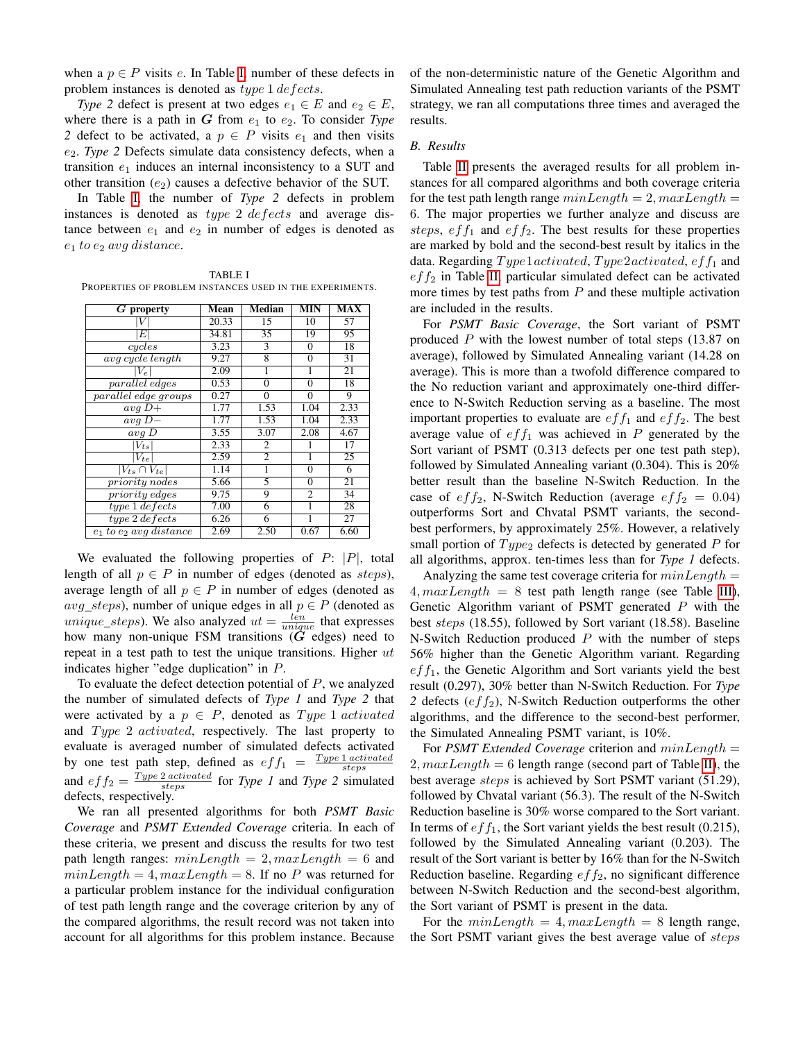when a  $p \in P$  visits e. In Table [I,](#page-6-0) number of these defects in problem instances is denoted as *type* 1 *defects*.

*Type 2* defect is present at two edges  $e_1 \in E$  and  $e_2 \in E$ , where there is a path in  $G$  from  $e_1$  to  $e_2$ . To consider *Type 2* defect to be activated, a  $p \in P$  visits  $e_1$  and then visits e2. *Type 2* Defects simulate data consistency defects, when a transition  $e_1$  induces an internal inconsistency to a SUT and other transition  $(e_2)$  causes a defective behavior of the SUT.

In Table [I,](#page-6-0) the number of *Type 2* defects in problem instances is denoted as type 2 defects and average distance between  $e_1$  and  $e_2$  in number of edges is denoted as  $e_1$  to  $e_2$  avg distance.

<span id="page-6-0"></span>TABLE I PROPERTIES OF PROBLEM INSTANCES USED IN THE EXPERIMENTS.

| $G$ property                | Mean  | <b>Median</b>  | <b>MIN</b>     | <b>MAX</b> |
|-----------------------------|-------|----------------|----------------|------------|
|                             | 20.33 | 15             | 10             | 57         |
| E                           | 34.81 | 35             | 19             | 95         |
| cycles                      | 3.23  | 3              | $\Omega$       | 18         |
| avg cycle length            | 9.27  | 8              | $\Omega$       | 31         |
| $ V_e $                     | 2.09  | 1              |                | 21         |
| parallel edges              | 0.53  | $\Omega$       | $\Omega$       | 18         |
| parallel edge groups        | 0.27  | $\Omega$       | ∩              | 9          |
| $avg\ D+$                   | 1.77  | 1.53           | 1.04           | 2.33       |
| $avg D-$                    | 1.77  | 1.53           | 1.04           | 2.33       |
| $avg\ D$                    | 3.55  | 3.07           | 2.08           | 4.67       |
| $ V_{ts} $                  | 2.33  | 2              |                | 17         |
| $V_{te}$                    | 2.59  | $\overline{c}$ |                | 25         |
| $V_{ts} \cap V_{te}$        | 1.14  | 1              | $\Omega$       | 6          |
| <i>priority nodes</i>       | 5.66  | 5              | $\Omega$       | 21         |
| <i>priority</i> edges       | 9.75  | 9              | $\mathfrak{D}$ | 34         |
| $type 1 \, defects$         | 7.00  | 6              | 1              | 28         |
| $type 2 \, defects$         | 6.26  | 6              |                | 27         |
| $e_1$ to $e_2$ avg distance | 2.69  | 2.50           | 0.67           | 6.60       |

We evaluated the following properties of  $P: |P|$ , total length of all  $p \in P$  in number of edges (denoted as *steps*), average length of all  $p \in P$  in number of edges (denoted as  $avg\_steps$ ), number of unique edges in all  $p \in P$  (denoted as *unique\_steps*). We also analyzed  $ut = \frac{len}{unique}$  that expresses how many non-unique FSM transitions  $(G \text{ edges})$  need to repeat in a test path to test the unique transitions. Higher  $ut$ indicates higher "edge duplication" in P.

To evaluate the defect detection potential of  $P$ , we analyzed the number of simulated defects of *Type 1* and *Type 2* that were activated by a  $p \in P$ , denoted as  $Type 1 \, activated$ and  $Type 2 \text{ activated}$ , respectively. The last property to evaluate is averaged number of simulated defects activated by one test path step, defined as  $eff_1 = \frac{Type\ 1\,activated}{steps}$ and  $eff_2 = \frac{Type\ 2\ activated}{steps}$  for *Type 1* and *Type 2* simulated defects, respectively.

We ran all presented algorithms for both *PSMT Basic Coverage* and *PSMT Extended Coverage* criteria. In each of these criteria, we present and discuss the results for two test path length ranges:  $minLength = 2, maxLength = 6$  and  $minLength = 4, maxLength = 8$ . If no P was returned for a particular problem instance for the individual configuration of test path length range and the coverage criterion by any of the compared algorithms, the result record was not taken into account for all algorithms for this problem instance. Because of the non-deterministic nature of the Genetic Algorithm and Simulated Annealing test path reduction variants of the PSMT strategy, we ran all computations three times and averaged the results.

## *B. Results*

Table [II](#page-7-0) presents the averaged results for all problem instances for all compared algorithms and both coverage criteria for the test path length range  $minLength = 2, maxLength =$ 6. The major properties we further analyze and discuss are steps,  $eff_1$  and  $eff_2$ . The best results for these properties are marked by bold and the second-best result by italics in the data. Regarding  $Type1activated, Type2activated, eff<sub>1</sub>$  and  $eff_2$  in Table [II,](#page-7-0) particular simulated defect can be activated more times by test paths from  $P$  and these multiple activation are included in the results.

For *PSMT Basic Coverage*, the Sort variant of PSMT produced  $P$  with the lowest number of total steps (13.87 on average), followed by Simulated Annealing variant (14.28 on average). This is more than a twofold difference compared to the No reduction variant and approximately one-third difference to N-Switch Reduction serving as a baseline. The most important properties to evaluate are  $eff_1$  and  $eff_2$ . The best average value of  $eff_1$  was achieved in P generated by the Sort variant of PSMT (0.313 defects per one test path step), followed by Simulated Annealing variant (0.304). This is 20% better result than the baseline N-Switch Reduction. In the case of  $eff_2$ , N-Switch Reduction (average  $eff_2 = 0.04$ ) outperforms Sort and Chvatal PSMT variants, the secondbest performers, by approximately 25%. However, a relatively small portion of  $Type<sub>2</sub>$  defects is detected by generated P for all algorithms, approx. ten-times less than for *Type 1* defects.

Analyzing the same test coverage criteria for  $minLength =$  $4, maxLength = 8$  test path length range (see Table [III\)](#page-8-0), Genetic Algorithm variant of PSMT generated P with the best steps (18.55), followed by Sort variant (18.58). Baseline N-Switch Reduction produced  $P$  with the number of steps 56% higher than the Genetic Algorithm variant. Regarding  $eff<sub>1</sub>$ , the Genetic Algorithm and Sort variants yield the best result (0.297), 30% better than N-Switch Reduction. For *Type* 2 defects  $(eff<sub>2</sub>)$ , N-Switch Reduction outperforms the other algorithms, and the difference to the second-best performer, the Simulated Annealing PSMT variant, is 10%.

For *PSMT Extended Coverage* criterion and minLength = 2,  $maxLength = 6$  length range (second part of Table [II\)](#page-7-0), the best average steps is achieved by Sort PSMT variant (51.29), followed by Chvatal variant (56.3). The result of the N-Switch Reduction baseline is 30% worse compared to the Sort variant. In terms of  $eff_1$ , the Sort variant yields the best result (0.215), followed by the Simulated Annealing variant (0.203). The result of the Sort variant is better by 16% than for the N-Switch Reduction baseline. Regarding  $eff_2$ , no significant difference between N-Switch Reduction and the second-best algorithm, the Sort variant of PSMT is present in the data.

For the  $minLength = 4, maxLength = 8$  length range, the Sort PSMT variant gives the best average value of steps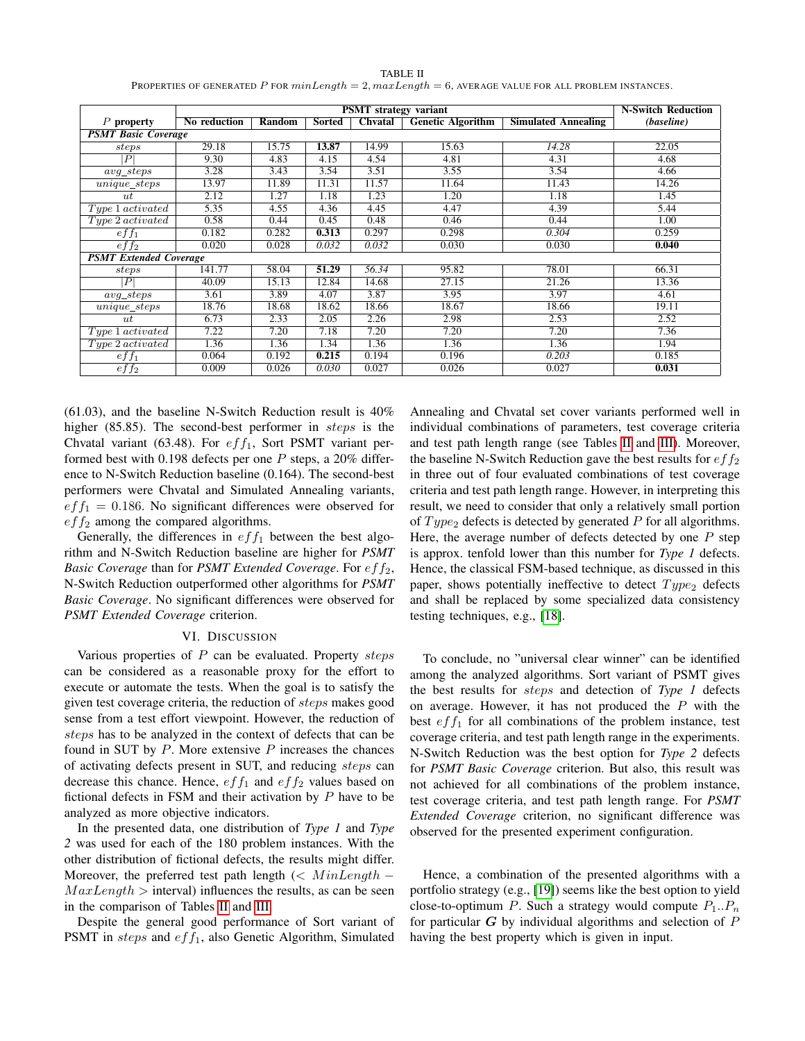<span id="page-7-0"></span>

| <b>PSMT</b> strategy variant  |              |                           |        |         |                          |                            |            |  |
|-------------------------------|--------------|---------------------------|--------|---------|--------------------------|----------------------------|------------|--|
|                               |              | <b>N-Switch Reduction</b> |        |         |                          |                            |            |  |
| $P$ property                  | No reduction | Random                    | Sorted | Chvatal | <b>Genetic Algorithm</b> | <b>Simulated Annealing</b> | (baseline) |  |
| <b>PSMT Basic Coverage</b>    |              |                           |        |         |                          |                            |            |  |
| steps                         | 29.18        | 15.75                     | 13.87  | 14.99   | 15.63                    | 14.28                      | 22.05      |  |
| $\boldsymbol{P}$              | 9.30         | 4.83                      | 4.15   | 4.54    | 4.81                     | 4.31                       | 4.68       |  |
| $avg\_steps$                  | 3.28         | 3.43                      | 3.54   | 3.51    | 3.55                     | 3.54                       | 4.66       |  |
| $unique\_steps$               | 13.97        | 11.89                     | 11.31  | 11.57   | 11.64                    | 11.43                      | 14.26      |  |
| $u$ t                         | 2.12         | 1.27                      | 1.18   | 1.23    | 1.20                     | 1.18                       | 1.45       |  |
| Type 1 activated              | 5.35         | 4.55                      | 4.36   | 4.45    | 4.47                     | 4.39                       | 5.44       |  |
| $Type\,2\,activated$          | 0.58         | 0.44                      | 0.45   | 0.48    | 0.46                     | 0.44                       | 1.00       |  |
| $eff_1$                       | 0.182        | 0.282                     | 0.313  | 0.297   | 0.298                    | 0.304                      | 0.259      |  |
| eff <sub>2</sub>              | 0.020        | 0.028                     | 0.032  | 0.032   | 0.030                    | 0.030                      | 0.040      |  |
| <b>PSMT Extended Coverage</b> |              |                           |        |         |                          |                            |            |  |
| steps                         | 141.77       | 58.04                     | 51.29  | 56.34   | 95.82                    | 78.01                      | 66.31      |  |
| $\vert P \vert$               | 40.09        | 15.13                     | 12.84  | 14.68   | 27.15                    | 21.26                      | 13.36      |  |
| $avg\_steps$                  | 3.61         | 3.89                      | 4.07   | 3.87    | 3.95                     | 3.97                       | 4.61       |  |
| unique_steps                  | 18.76        | 18.68                     | 18.62  | 18.66   | 18.67                    | 18.66                      | 19.11      |  |
| $u$ t                         | 6.73         | 2.33                      | 2.05   | 2.26    | 2.98                     | 2.53                       | 2.52       |  |
| Type 1 activated              | 7.22         | 7.20                      | 7.18   | 7.20    | 7.20                     | 7.20                       | 7.36       |  |
| Type 2 activated              | 1.36         | 1.36                      | 1.34   | 1.36    | 1.36                     | 1.36                       | 1.94       |  |
| $eff_1$                       | 0.064        | 0.192                     | 0.215  | 0.194   | 0.196                    | 0.203                      | 0.185      |  |
| eff <sub>2</sub>              | 0.009        | 0.026                     | 0.030  | 0.027   | 0.026                    | 0.027                      | 0.031      |  |

TABLE II PROPERTIES OF GENERATED P FOR  $minLength = 2, maxLength = 6$ , AVERAGE VALUE FOR ALL PROBLEM INSTANCES.

(61.03), and the baseline N-Switch Reduction result is 40% higher (85.85). The second-best performer in *steps* is the Chvatal variant (63.48). For  $eff_1$ , Sort PSMT variant performed best with 0.198 defects per one P steps, a 20% difference to N-Switch Reduction baseline (0.164). The second-best performers were Chvatal and Simulated Annealing variants,  $eff_1 = 0.186$ . No significant differences were observed for  $eff<sub>2</sub>$  among the compared algorithms.

Generally, the differences in  $eff_1$  between the best algorithm and N-Switch Reduction baseline are higher for *PSMT Basic Coverage* than for *PSMT Extended Coverage*. For  $eff_2$ , N-Switch Reduction outperformed other algorithms for *PSMT Basic Coverage*. No significant differences were observed for *PSMT Extended Coverage* criterion.

## VI. DISCUSSION

Various properties of  $P$  can be evaluated. Property steps can be considered as a reasonable proxy for the effort to execute or automate the tests. When the goal is to satisfy the given test coverage criteria, the reduction of steps makes good sense from a test effort viewpoint. However, the reduction of steps has to be analyzed in the context of defects that can be found in SUT by  $P$ . More extensive  $P$  increases the chances of activating defects present in SUT, and reducing steps can decrease this chance. Hence,  $eff_1$  and  $eff_2$  values based on fictional defects in FSM and their activation by P have to be analyzed as more objective indicators.

In the presented data, one distribution of *Type 1* and *Type 2* was used for each of the 180 problem instances. With the other distribution of fictional defects, the results might differ. Moreover, the preferred test path length (<  $MinLength MaxLength$  > interval) influences the results, as can be seen in the comparison of Tables [II](#page-7-0) and [III.](#page-8-0)

Despite the general good performance of Sort variant of PSMT in *steps* and  $eff_1$ , also Genetic Algorithm, Simulated

Annealing and Chvatal set cover variants performed well in individual combinations of parameters, test coverage criteria and test path length range (see Tables [II](#page-7-0) and [III\)](#page-8-0). Moreover, the baseline N-Switch Reduction gave the best results for  $eff_2$ in three out of four evaluated combinations of test coverage criteria and test path length range. However, in interpreting this result, we need to consider that only a relatively small portion of  $Type<sub>2</sub>$  defects is detected by generated P for all algorithms. Here, the average number of defects detected by one  $P$  step is approx. tenfold lower than this number for *Type 1* defects. Hence, the classical FSM-based technique, as discussed in this paper, shows potentially ineffective to detect  $Type<sub>2</sub>$  defects and shall be replaced by some specialized data consistency testing techniques, e.g., [\[18\]](#page-9-15).

To conclude, no "universal clear winner" can be identified among the analyzed algorithms. Sort variant of PSMT gives the best results for steps and detection of *Type 1* defects on average. However, it has not produced the  $P$  with the best  $eff_1$  for all combinations of the problem instance, test coverage criteria, and test path length range in the experiments. N-Switch Reduction was the best option for *Type 2* defects for *PSMT Basic Coverage* criterion. But also, this result was not achieved for all combinations of the problem instance, test coverage criteria, and test path length range. For *PSMT Extended Coverage* criterion, no significant difference was observed for the presented experiment configuration.

Hence, a combination of the presented algorithms with a portfolio strategy (e.g., [\[19\]](#page-9-16)) seems like the best option to yield close-to-optimum P. Such a strategy would compute  $P_1 \, . \, P_n$ for particular  $G$  by individual algorithms and selection of  $P$ having the best property which is given in input.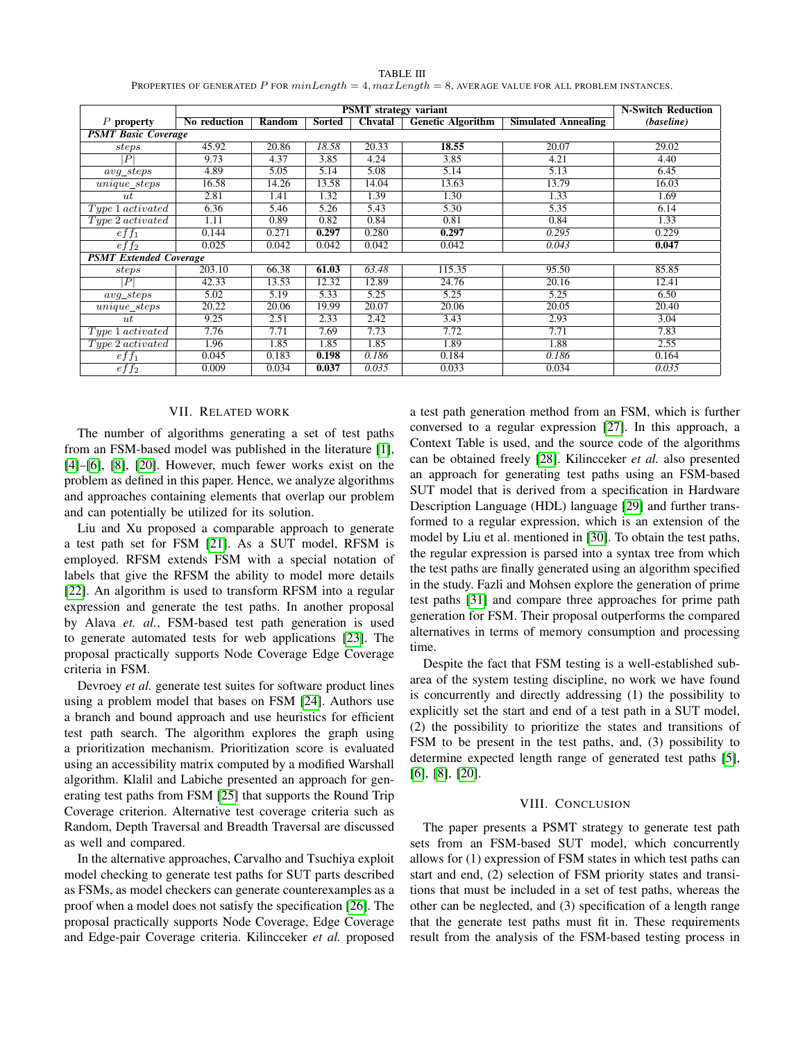| TABLE III                                                                                               |
|---------------------------------------------------------------------------------------------------------|
| PROPERTIES OF GENERATED P FOR $minLength = 4, maxLength = 8$ , AVERAGE VALUE FOR ALL PROBLEM INSTANCES. |

<span id="page-8-0"></span>

|                               | <b>PSMT</b> strategy variant |        |        |                |                          |                            |            |
|-------------------------------|------------------------------|--------|--------|----------------|--------------------------|----------------------------|------------|
| $P$ property                  | No reduction                 | Random | Sorted | <b>Chvatal</b> | <b>Genetic Algorithm</b> | <b>Simulated Annealing</b> | (baseline) |
| <b>PSMT Basic Coverage</b>    |                              |        |        |                |                          |                            |            |
| steps                         | 45.92                        | 20.86  | 18.58  | 20.33          | 18.55                    | 20.07                      | 29.02      |
| P                             | 9.73                         | 4.37   | 3.85   | 4.24           | 3.85                     | 4.21                       | 4.40       |
| $avg\_steps$                  | 4.89                         | 5.05   | 5.14   | 5.08           | 5.14                     | 5.13                       | 6.45       |
| $unique\_steps$               | 16.58                        | 14.26  | 13.58  | 14.04          | 13.63                    | 13.79                      | 16.03      |
| $u$ t                         | 2.81                         | 1.41   | 1.32   | 1.39           | 1.30                     | 1.33                       | 1.69       |
| Type 1 activated              | 6.36                         | 5.46   | 5.26   | 5.43           | 5.30                     | 5.35                       | 6.14       |
| $Type\,2\,activated$          | 1.11                         | 0.89   | 0.82   | 0.84           | 0.81                     | 0.84                       | 1.33       |
| $eff_1$                       | 0.144                        | 0.271  | 0.297  | 0.280          | 0.297                    | 0.295                      | 0.229      |
| eff <sub>2</sub>              | 0.025                        | 0.042  | 0.042  | 0.042          | 0.042                    | 0.043                      | 0.047      |
| <b>PSMT</b> Extended Coverage |                              |        |        |                |                          |                            |            |
| steps                         | 203.10                       | 66.38  | 61.03  | 63.48          | 115.35                   | 95.50                      | 85.85      |
| $\overline{P}$                | 42.33                        | 13.53  | 12.32  | 12.89          | 24.76                    | 20.16                      | 12.41      |
| $avg\_steps$                  | 5.02                         | 5.19   | 5.33   | 5.25           | 5.25                     | 5.25                       | 6.50       |
| unique_steps                  | 20.22                        | 20.06  | 19.99  | 20.07          | 20.06                    | 20.05                      | 20.40      |
| $u$ t                         | 9.25                         | 2.51   | 2.33   | 2.42           | 3.43                     | 2.93                       | 3.04       |
| Type 1 activated              | 7.76                         | 7.71   | 7.69   | 7.73           | 7.72                     | 7.71                       | 7.83       |
| Type 2 activated              | 1.96                         | 1.85   | 1.85   | 1.85           | 1.89                     | 1.88                       | 2.55       |
| $eff_1$                       | 0.045                        | 0.183  | 0.198  | 0.186          | 0.184                    | 0.186                      | 0.164      |
| eff <sub>2</sub>              | 0.009                        | 0.034  | 0.037  | 0.035          | 0.033                    | 0.034                      | 0.035      |

### VII. RELATED WORK

The number of algorithms generating a set of test paths from an FSM-based model was published in the literature [\[1\]](#page-9-0), [\[4\]](#page-9-3)–[\[6\]](#page-9-4), [\[8\]](#page-9-6), [\[20\]](#page-9-17). However, much fewer works exist on the problem as defined in this paper. Hence, we analyze algorithms and approaches containing elements that overlap our problem and can potentially be utilized for its solution.

Liu and Xu proposed a comparable approach to generate a test path set for FSM [\[21\]](#page-9-18). As a SUT model, RFSM is employed. RFSM extends FSM with a special notation of labels that give the RFSM the ability to model more details [\[22\]](#page-9-19). An algorithm is used to transform RFSM into a regular expression and generate the test paths. In another proposal by Alava *et. al.*, FSM-based test path generation is used to generate automated tests for web applications [\[23\]](#page-9-20). The proposal practically supports Node Coverage Edge Coverage criteria in FSM.

Devroey *et al.* generate test suites for software product lines using a problem model that bases on FSM [\[24\]](#page-9-21). Authors use a branch and bound approach and use heuristics for efficient test path search. The algorithm explores the graph using a prioritization mechanism. Prioritization score is evaluated using an accessibility matrix computed by a modified Warshall algorithm. Klalil and Labiche presented an approach for generating test paths from FSM [\[25\]](#page-9-22) that supports the Round Trip Coverage criterion. Alternative test coverage criteria such as Random, Depth Traversal and Breadth Traversal are discussed as well and compared.

In the alternative approaches, Carvalho and Tsuchiya exploit model checking to generate test paths for SUT parts described as FSMs, as model checkers can generate counterexamples as a proof when a model does not satisfy the specification [\[26\]](#page-9-23). The proposal practically supports Node Coverage, Edge Coverage and Edge-pair Coverage criteria. Kilincceker *et al.* proposed

a test path generation method from an FSM, which is further conversed to a regular expression [\[27\]](#page-9-24). In this approach, a Context Table is used, and the source code of the algorithms can be obtained freely [\[28\]](#page-9-25). Kilincceker *et al.* also presented an approach for generating test paths using an FSM-based SUT model that is derived from a specification in Hardware Description Language (HDL) language [\[29\]](#page-9-26) and further transformed to a regular expression, which is an extension of the model by Liu et al. mentioned in [\[30\]](#page-10-0). To obtain the test paths, the regular expression is parsed into a syntax tree from which the test paths are finally generated using an algorithm specified in the study. Fazli and Mohsen explore the generation of prime test paths [\[31\]](#page-10-1) and compare three approaches for prime path generation for FSM. Their proposal outperforms the compared alternatives in terms of memory consumption and processing time.

Despite the fact that FSM testing is a well-established subarea of the system testing discipline, no work we have found is concurrently and directly addressing (1) the possibility to explicitly set the start and end of a test path in a SUT model, (2) the possibility to prioritize the states and transitions of FSM to be present in the test paths, and, (3) possibility to determine expected length range of generated test paths [\[5\]](#page-9-27), [\[6\]](#page-9-4), [\[8\]](#page-9-6), [\[20\]](#page-9-17).

#### VIII. CONCLUSION

The paper presents a PSMT strategy to generate test path sets from an FSM-based SUT model, which concurrently allows for (1) expression of FSM states in which test paths can start and end, (2) selection of FSM priority states and transitions that must be included in a set of test paths, whereas the other can be neglected, and (3) specification of a length range that the generate test paths must fit in. These requirements result from the analysis of the FSM-based testing process in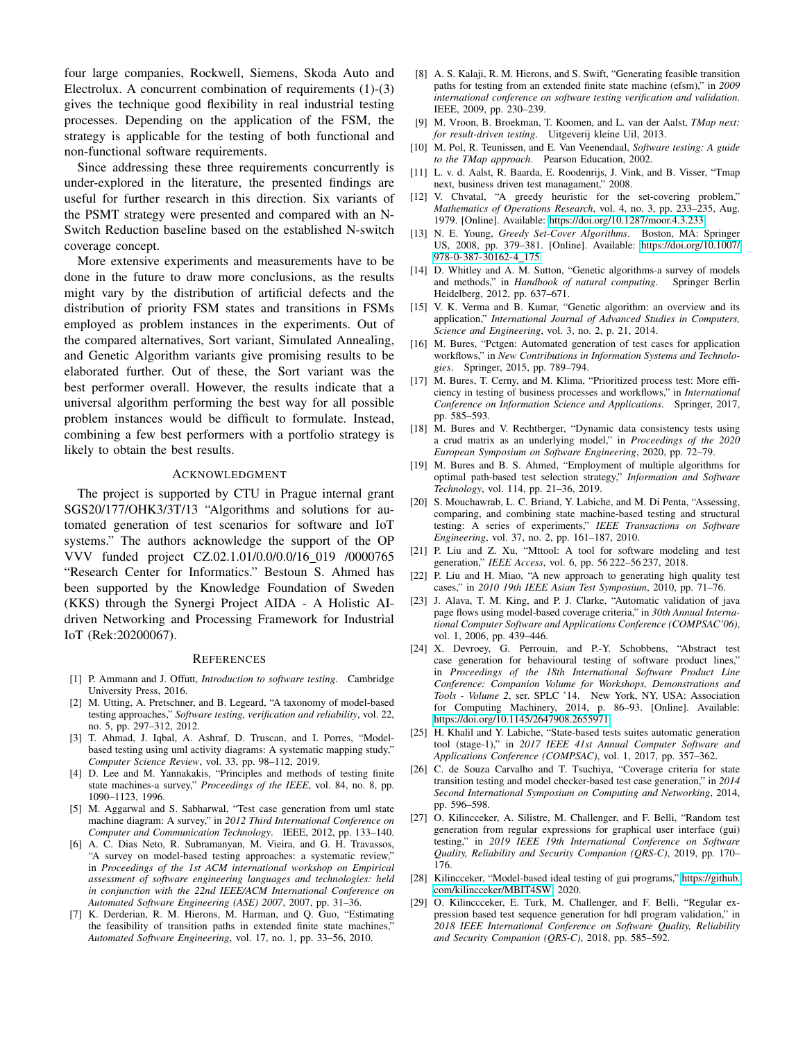four large companies, Rockwell, Siemens, Skoda Auto and Electrolux. A concurrent combination of requirements (1)-(3) gives the technique good flexibility in real industrial testing processes. Depending on the application of the FSM, the strategy is applicable for the testing of both functional and non-functional software requirements.

Since addressing these three requirements concurrently is under-explored in the literature, the presented findings are useful for further research in this direction. Six variants of the PSMT strategy were presented and compared with an N-Switch Reduction baseline based on the established N-switch coverage concept.

More extensive experiments and measurements have to be done in the future to draw more conclusions, as the results might vary by the distribution of artificial defects and the distribution of priority FSM states and transitions in FSMs employed as problem instances in the experiments. Out of the compared alternatives, Sort variant, Simulated Annealing, and Genetic Algorithm variants give promising results to be elaborated further. Out of these, the Sort variant was the best performer overall. However, the results indicate that a universal algorithm performing the best way for all possible problem instances would be difficult to formulate. Instead, combining a few best performers with a portfolio strategy is likely to obtain the best results.

#### ACKNOWLEDGMENT

The project is supported by CTU in Prague internal grant SGS20/177/OHK3/3T/13 "Algorithms and solutions for automated generation of test scenarios for software and IoT systems." The authors acknowledge the support of the OP VVV funded project CZ.02.1.01/0.0/0.0/16 019 /0000765 "Research Center for Informatics." Bestoun S. Ahmed has been supported by the Knowledge Foundation of Sweden (KKS) through the Synergi Project AIDA - A Holistic AIdriven Networking and Processing Framework for Industrial IoT (Rek:20200067).

#### **REFERENCES**

- <span id="page-9-0"></span>[1] P. Ammann and J. Offutt, *Introduction to software testing*. Cambridge University Press, 2016.
- <span id="page-9-1"></span>[2] M. Utting, A. Pretschner, and B. Legeard, "A taxonomy of model-based testing approaches," *Software testing, verification and reliability*, vol. 22, no. 5, pp. 297–312, 2012.
- <span id="page-9-2"></span>[3] T. Ahmad, J. Iqbal, A. Ashraf, D. Truscan, and I. Porres, "Modelbased testing using uml activity diagrams: A systematic mapping study," *Computer Science Review*, vol. 33, pp. 98–112, 2019.
- <span id="page-9-3"></span>[4] D. Lee and M. Yannakakis, "Principles and methods of testing finite state machines-a survey," *Proceedings of the IEEE*, vol. 84, no. 8, pp. 1090–1123, 1996.
- <span id="page-9-27"></span>[5] M. Aggarwal and S. Sabharwal, "Test case generation from uml state machine diagram: A survey," in *2012 Third International Conference on Computer and Communication Technology*. IEEE, 2012, pp. 133–140.
- <span id="page-9-4"></span>[6] A. C. Dias Neto, R. Subramanyan, M. Vieira, and G. H. Travassos, "A survey on model-based testing approaches: a systematic review," in *Proceedings of the 1st ACM international workshop on Empirical assessment of software engineering languages and technologies: held in conjunction with the 22nd IEEE/ACM International Conference on Automated Software Engineering (ASE) 2007*, 2007, pp. 31–36.
- <span id="page-9-5"></span>[7] K. Derderian, R. M. Hierons, M. Harman, and Q. Guo, "Estimating the feasibility of transition paths in extended finite state machines,' *Automated Software Engineering*, vol. 17, no. 1, pp. 33–56, 2010.
- <span id="page-9-6"></span>[8] A. S. Kalaji, R. M. Hierons, and S. Swift, "Generating feasible transition paths for testing from an extended finite state machine (efsm)," in *2009 international conference on software testing verification and validation*. IEEE, 2009, pp. 230–239.
- <span id="page-9-7"></span>[9] M. Vroon, B. Broekman, T. Koomen, and L. van der Aalst, *TMap next: for result-driven testing*. Uitgeverij kleine Uil, 2013.
- [10] M. Pol, R. Teunissen, and E. Van Veenendaal, *Software testing: A guide to the TMap approach*. Pearson Education, 2002.
- <span id="page-9-8"></span>[11] L. v. d. Aalst, R. Baarda, E. Roodenrijs, J. Vink, and B. Visser, "Tmap next, business driven test managament," 2008.
- <span id="page-9-9"></span>[12] V. Chvatal, "A greedy heuristic for the set-covering problem," *Mathematics of Operations Research*, vol. 4, no. 3, pp. 233–235, Aug. 1979. [Online]. Available:<https://doi.org/10.1287/moor.4.3.233>
- <span id="page-9-10"></span>[13] N. E. Young, *Greedy Set-Cover Algorithms*. Boston, MA: Springer US, 2008, pp. 379–381. [Online]. Available: [https://doi.org/10.1007/](https://doi.org/10.1007/978-0-387-30162-4_175) [978-0-387-30162-4](https://doi.org/10.1007/978-0-387-30162-4_175) 175
- <span id="page-9-11"></span>[14] D. Whitley and A. M. Sutton, "Genetic algorithms-a survey of models and methods," in *Handbook of natural computing*. Springer Berlin Heidelberg, 2012, pp. 637–671.
- <span id="page-9-12"></span>[15] V. K. Verma and B. Kumar, "Genetic algorithm: an overview and its application," *International Journal of Advanced Studies in Computers, Science and Engineering*, vol. 3, no. 2, p. 21, 2014.
- <span id="page-9-13"></span>[16] M. Bures, "Pctgen: Automated generation of test cases for application workflows," in *New Contributions in Information Systems and Technologies*. Springer, 2015, pp. 789–794.
- <span id="page-9-14"></span>[17] M. Bures, T. Cerny, and M. Klima, "Prioritized process test: More efficiency in testing of business processes and workflows," in *International Conference on Information Science and Applications*. Springer, 2017, pp. 585–593.
- <span id="page-9-15"></span>[18] M. Bures and V. Rechtberger, "Dynamic data consistency tests using a crud matrix as an underlying model," in *Proceedings of the 2020 European Symposium on Software Engineering*, 2020, pp. 72–79.
- <span id="page-9-16"></span>[19] M. Bures and B. S. Ahmed, "Employment of multiple algorithms for optimal path-based test selection strategy," *Information and Software Technology*, vol. 114, pp. 21–36, 2019.
- <span id="page-9-17"></span>[20] S. Mouchawrab, L. C. Briand, Y. Labiche, and M. Di Penta, "Assessing, comparing, and combining state machine-based testing and structural testing: A series of experiments," *IEEE Transactions on Software Engineering*, vol. 37, no. 2, pp. 161–187, 2010.
- <span id="page-9-18"></span>[21] P. Liu and Z. Xu, "Mttool: A tool for software modeling and test generation," *IEEE Access*, vol. 6, pp. 56 222–56 237, 2018.
- <span id="page-9-19"></span>[22] P. Liu and H. Miao, "A new approach to generating high quality test cases," in *2010 19th IEEE Asian Test Symposium*, 2010, pp. 71–76.
- <span id="page-9-20"></span>[23] J. Alava, T. M. King, and P. J. Clarke, "Automatic validation of java page flows using model-based coverage criteria," in *30th Annual International Computer Software and Applications Conference (COMPSAC'06)*, vol. 1, 2006, pp. 439–446.
- <span id="page-9-21"></span>[24] X. Devroey, G. Perrouin, and P.-Y. Schobbens, "Abstract test case generation for behavioural testing of software product lines," in *Proceedings of the 18th International Software Product Line Conference: Companion Volume for Workshops, Demonstrations and Tools - Volume 2*, ser. SPLC '14. New York, NY, USA: Association for Computing Machinery, 2014, p. 86–93. [Online]. Available: <https://doi.org/10.1145/2647908.2655971>
- <span id="page-9-22"></span>[25] H. Khalil and Y. Labiche, "State-based tests suites automatic generation tool (stage-1)," in *2017 IEEE 41st Annual Computer Software and Applications Conference (COMPSAC)*, vol. 1, 2017, pp. 357–362.
- <span id="page-9-23"></span>[26] C. de Souza Carvalho and T. Tsuchiya, "Coverage criteria for state transition testing and model checker-based test case generation," in *2014 Second International Symposium on Computing and Networking*, 2014, pp. 596–598.
- <span id="page-9-24"></span>[27] O. Kilincceker, A. Silistre, M. Challenger, and F. Belli, "Random test generation from regular expressions for graphical user interface (gui) testing," in *2019 IEEE 19th International Conference on Software Quality, Reliability and Security Companion (QRS-C)*, 2019, pp. 170– 176.
- <span id="page-9-25"></span>[28] Kilincceker, "Model-based ideal testing of gui programs," [https://github.](https://github.com/kilincceker/MBIT4SW) [com/kilincceker/MBIT4SW,](https://github.com/kilincceker/MBIT4SW) 2020.
- <span id="page-9-26"></span>[29] O. Kilinccceker, E. Turk, M. Challenger, and F. Belli, "Regular expression based test sequence generation for hdl program validation," in *2018 IEEE International Conference on Software Quality, Reliability and Security Companion (QRS-C)*, 2018, pp. 585–592.